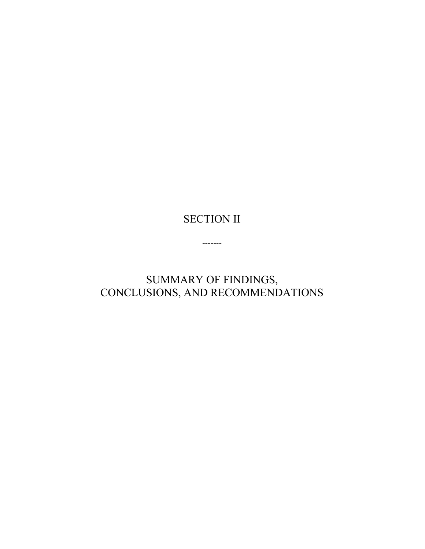## SECTION II

-------

SUMMARY OF FINDINGS, CONCLUSIONS, AND RECOMMENDATIONS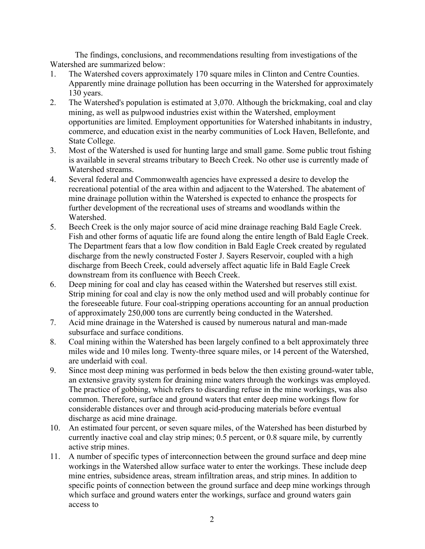The findings, conclusions, and recommendations resulting from investigations of the Watershed are summarized below:

- 1. The Watershed covers approximately 170 square miles in Clinton and Centre Counties. Apparently mine drainage pollution has been occurring in the Watershed for approximately 130 years.
- 2. The Watershed's population is estimated at 3,070. Although the brickmaking, coal and clay mining, as well as pulpwood industries exist within the Watershed, employment opportunities are limited. Employment opportunities for Watershed inhabitants in industry, commerce, and education exist in the nearby communities of Lock Haven, Bellefonte, and State College.
- 3. Most of the Watershed is used for hunting large and small game. Some public trout fishing is available in several streams tributary to Beech Creek. No other use is currently made of Watershed streams.
- 4. Several federal and Commonwealth agencies have expressed a desire to develop the recreational potential of the area within and adjacent to the Watershed. The abatement of mine drainage pollution within the Watershed is expected to enhance the prospects for further development of the recreational uses of streams and woodlands within the Watershed.
- 5. Beech Creek is the only major source of acid mine drainage reaching Bald Eagle Creek. Fish and other forms of aquatic life are found along the entire length of Bald Eagle Creek. The Department fears that a low flow condition in Bald Eagle Creek created by regulated discharge from the newly constructed Foster J. Sayers Reservoir, coupled with a high discharge from Beech Creek, could adversely affect aquatic life in Bald Eagle Creek downstream from its confluence with Beech Creek.
- 6. Deep mining for coal and clay has ceased within the Watershed but reserves still exist. Strip mining for coal and clay is now the only method used and will probably continue for the foreseeable future. Four coal-stripping operations accounting for an annual production of approximately 250,000 tons are currently being conducted in the Watershed.
- 7. Acid mine drainage in the Watershed is caused by numerous natural and man-made subsurface and surface conditions.
- 8. Coal mining within the Watershed has been largely confined to a belt approximately three miles wide and 10 miles long. Twenty-three square miles, or 14 percent of the Watershed, are underlaid with coal.
- 9. Since most deep mining was performed in beds below the then existing ground-water table, an extensive gravity system for draining mine waters through the workings was employed. The practice of gobbing, which refers to discarding refuse in the mine workings, was also common. Therefore, surface and ground waters that enter deep mine workings flow for considerable distances over and through acid-producing materials before eventual discharge as acid mine drainage.
- 10. An estimated four percent, or seven square miles, of the Watershed has been disturbed by currently inactive coal and clay strip mines; 0.5 percent, or 0.8 square mile, by currently active strip mines.
- 11. A number of specific types of interconnection between the ground surface and deep mine workings in the Watershed allow surface water to enter the workings. These include deep mine entries, subsidence areas, stream infiltration areas, and strip mines. In addition to specific points of connection between the ground surface and deep mine workings through which surface and ground waters enter the workings, surface and ground waters gain access to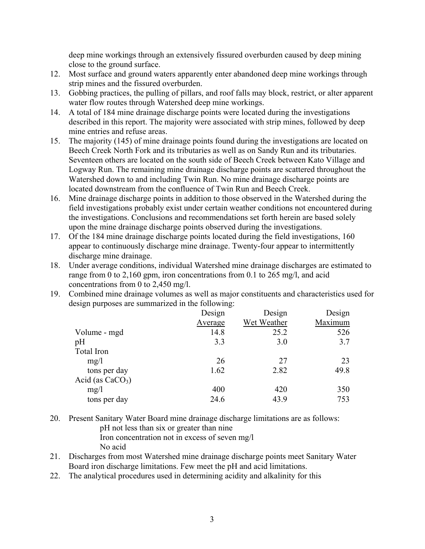deep mine workings through an extensively fissured overburden caused by deep mining close to the ground surface.

- 12. Most surface and ground waters apparently enter abandoned deep mine workings through strip mines and the fissured overburden.
- 13. Gobbing practices, the pulling of pillars, and roof falls may block, restrict, or alter apparent water flow routes through Watershed deep mine workings.
- 14. A total of 184 mine drainage discharge points were located during the investigations described in this report. The majority were associated with strip mines, followed by deep mine entries and refuse areas.
- 15. The majority (145) of mine drainage points found during the investigations are located on Beech Creek North Fork and its tributaries as well as on Sandy Run and its tributaries. Seventeen others are located on the south side of Beech Creek between Kato Village and Logway Run. The remaining mine drainage discharge points are scattered throughout the Watershed down to and including Twin Run. No mine drainage discharge points are located downstream from the confluence of Twin Run and Beech Creek.
- 16. Mine drainage discharge points in addition to those observed in the Watershed during the field investigations probably exist under certain weather conditions not encountered during the investigations. Conclusions and recommendations set forth herein are based solely upon the mine drainage discharge points observed during the investigations.
- 17. Of the 184 mine drainage discharge points located during the field investigations, 160 appear to continuously discharge mine drainage. Twenty-four appear to intermittently discharge mine drainage.
- 18. Under average conditions, individual Watershed mine drainage discharges are estimated to range from 0 to 2,160 gpm, iron concentrations from 0.1 to 265 mg/l, and acid concentrations from 0 to 2,450 mg/l.
- 19. Combined mine drainage volumes as well as major constituents and characteristics used for design purposes are summarized in the following:

|                    | Design  | Design      | Design  |
|--------------------|---------|-------------|---------|
|                    | Average | Wet Weather | Maximum |
| Volume - mgd       | 14.8    | 25.2        | 526     |
| pH                 | 3.3     | 3.0         | 3.7     |
| Total Iron         |         |             |         |
| mg/1               | 26      | 27          | 23      |
| tons per day       | 1.62    | 2.82        | 49.8    |
| Acid (as $CaCO3$ ) |         |             |         |
| mg/1               | 400     | 420         | 350     |
| tons per day       | 24.6    | 43.9        | 753     |

- 20. Present Sanitary Water Board mine drainage discharge limitations are as follows: pH not less than six or greater than nine Iron concentration not in excess of seven mg/l
	- No acid
- 21. Discharges from most Watershed mine drainage discharge points meet Sanitary Water Board iron discharge limitations. Few meet the pH and acid limitations.
- 22. The analytical procedures used in determining acidity and alkalinity for this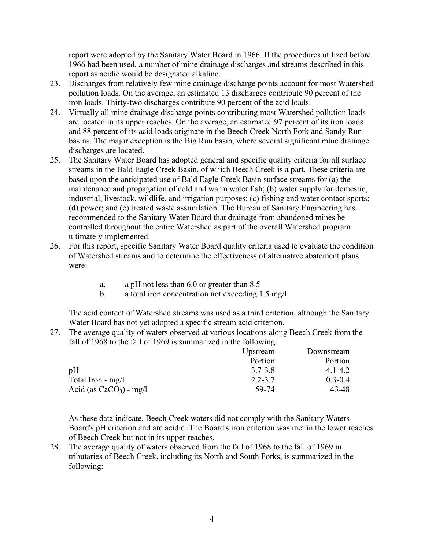report were adopted by the Sanitary Water Board in 1966. If the procedures utilized before 1966 had been used, a number of mine drainage discharges and streams described in this report as acidic would be designated alkaline.

- 23. Discharges from relatively few mine drainage discharge points account for most Watershed pollution loads. On the average, an estimated 13 discharges contribute 90 percent of the iron loads. Thirty-two discharges contribute 90 percent of the acid loads.
- 24. Virtually all mine drainage discharge points contributing most Watershed pollution loads are located in its upper reaches. On the average, an estimated 97 percent of its iron loads and 88 percent of its acid loads originate in the Beech Creek North Fork and Sandy Run basins. The major exception is the Big Run basin, where several significant mine drainage discharges are located.
- 25. The Sanitary Water Board has adopted general and specific quality criteria for all surface streams in the Bald Eagle Creek Basin, of which Beech Creek is a part. These criteria are based upon the anticipated use of Bald Eagle Creek Basin surface streams for (a) the maintenance and propagation of cold and warm water fish; (b) water supply for domestic, industrial, livestock, wildlife, and irrigation purposes; (c) fishing and water contact sports; (d) power; and (e) treated waste assimilation. The Bureau of Sanitary Engineering has recommended to the Sanitary Water Board that drainage from abandoned mines be controlled throughout the entire Watershed as part of the overall Watershed program ultimately implemented.
- 26. For this report, specific Sanitary Water Board quality criteria used to evaluate the condition of Watershed streams and to determine the effectiveness of alternative abatement plans were:
	- a. a pH not less than 6.0 or greater than 8.5
	- b. a total iron concentration not exceeding 1.5 mg/l

The acid content of Watershed streams was used as a third criterion, although the Sanitary Water Board has not yet adopted a specific stream acid criterion.

27. The average quality of waters observed at various locations along Beech Creek from the fall of 1968 to the fall of 1969 is summarized in the following:

|                           | Upstream    | Downstream  |
|---------------------------|-------------|-------------|
|                           | Portion     | Portion     |
| pH                        | $3.7 - 3.8$ | 4 1 - 4 2   |
| Total Iron - mg/l         | $2.2 - 3.7$ | $0.3 - 0.4$ |
| Acid (as $CaCO3$ ) - mg/l | 59-74       | 43-48       |

As these data indicate, Beech Creek waters did not comply with the Sanitary Waters Board's pH criterion and are acidic. The Board's iron criterion was met in the lower reaches of Beech Creek but not in its upper reaches.

28. The average quality of waters observed from the fall of 1968 to the fall of 1969 in tributaries of Beech Creek, including its North and South Forks, is summarized in the following: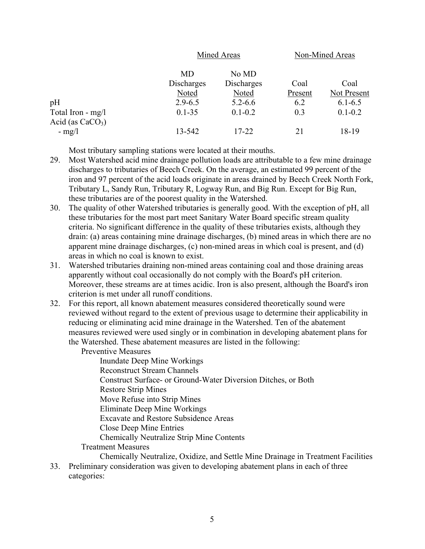|                                         |                           | Mined Areas                  |                 | Non-Mined Areas     |  |
|-----------------------------------------|---------------------------|------------------------------|-----------------|---------------------|--|
|                                         | MD<br>Discharges<br>Noted | No MD<br>Discharges<br>Noted | Coal<br>Present | Coal<br>Not Present |  |
| pH                                      | $2.9 - 6.5$               | $5.2 - 6.6$                  | 6.2             | $6.1 - 6.5$         |  |
| Total Iron - mg/l<br>Acid (as $CaCO3$ ) | $0.1 - 35$                | $0.1 - 0.2$                  | 0.3             | $0.1 - 0.2$         |  |
| $-$ mg/l                                | 13-542                    | $17 - 22$                    | 21              | 18-19               |  |

Most tributary sampling stations were located at their mouths.

- 29. Most Watershed acid mine drainage pollution loads are attributable to a few mine drainage discharges to tributaries of Beech Creek. On the average, an estimated 99 percent of the iron and 97 percent of the acid loads originate in areas drained by Beech Creek North Fork, Tributary L, Sandy Run, Tributary R, Logway Run, and Big Run. Except for Big Run, these tributaries are of the poorest quality in the Watershed.
- 30. The quality of other Watershed tributaries is generally good. With the exception of pH, all these tributaries for the most part meet Sanitary Water Board specific stream quality criteria. No significant difference in the quality of these tributaries exists, although they drain: (a) areas containing mine drainage discharges, (b) mined areas in which there are no apparent mine drainage discharges, (c) non-mined areas in which coal is present, and (d) areas in which no coal is known to exist.
- 31. Watershed tributaries draining non-mined areas containing coal and those draining areas apparently without coal occasionally do not comply with the Board's pH criterion. Moreover, these streams are at times acidic. Iron is also present, although the Board's iron criterion is met under all runoff conditions.
- 32. For this report, all known abatement measures considered theoretically sound were reviewed without regard to the extent of previous usage to determine their applicability in reducing or eliminating acid mine drainage in the Watershed. Ten of the abatement measures reviewed were used singly or in combination in developing abatement plans for the Watershed. These abatement measures are listed in the following:

Preventive Measures Inundate Deep Mine Workings Reconstruct Stream Channels Construct Surface- or Ground-Water Diversion Ditches, or Both Restore Strip Mines Move Refuse into Strip Mines Eliminate Deep Mine Workings Excavate and Restore Subsidence Areas Close Deep Mine Entries Chemically Neutralize Strip Mine Contents Treatment Measures

Chemically Neutralize, Oxidize, and Settle Mine Drainage in Treatment Facilities 33. Preliminary consideration was given to developing abatement plans in each of three

categories: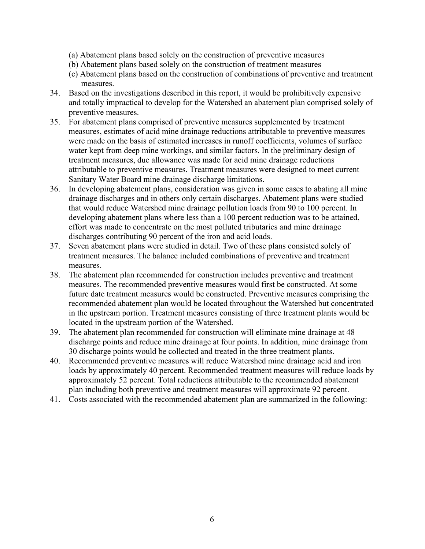- (a) Abatement plans based solely on the construction of preventive measures
- (b) Abatement plans based solely on the construction of treatment measures
- (c) Abatement plans based on the construction of combinations of preventive and treatment measures.
- 34. Based on the investigations described in this report, it would be prohibitively expensive and totally impractical to develop for the Watershed an abatement plan comprised solely of preventive measures.
- 35. For abatement plans comprised of preventive measures supplemented by treatment measures, estimates of acid mine drainage reductions attributable to preventive measures were made on the basis of estimated increases in runoff coefficients, volumes of surface water kept from deep mine workings, and similar factors. In the preliminary design of treatment measures, due allowance was made for acid mine drainage reductions attributable to preventive measures. Treatment measures were designed to meet current Sanitary Water Board mine drainage discharge limitations.
- 36. In developing abatement plans, consideration was given in some cases to abating all mine drainage discharges and in others only certain discharges. Abatement plans were studied that would reduce Watershed mine drainage pollution loads from 90 to 100 percent. In developing abatement plans where less than a 100 percent reduction was to be attained, effort was made to concentrate on the most polluted tributaries and mine drainage discharges contributing 90 percent of the iron and acid loads.
- 37. Seven abatement plans were studied in detail. Two of these plans consisted solely of treatment measures. The balance included combinations of preventive and treatment measures.
- 38. The abatement plan recommended for construction includes preventive and treatment measures. The recommended preventive measures would first be constructed. At some future date treatment measures would be constructed. Preventive measures comprising the recommended abatement plan would be located throughout the Watershed but concentrated in the upstream portion. Treatment measures consisting of three treatment plants would be located in the upstream portion of the Watershed.
- 39. The abatement plan recommended for construction will eliminate mine drainage at 48 discharge points and reduce mine drainage at four points. In addition, mine drainage from 30 discharge points would be collected and treated in the three treatment plants.
- 40. Recommended preventive measures will reduce Watershed mine drainage acid and iron loads by approximately 40 percent. Recommended treatment measures will reduce loads by approximately 52 percent. Total reductions attributable to the recommended abatement plan including both preventive and treatment measures will approximate 92 percent.
- 41. Costs associated with the recommended abatement plan are summarized in the following: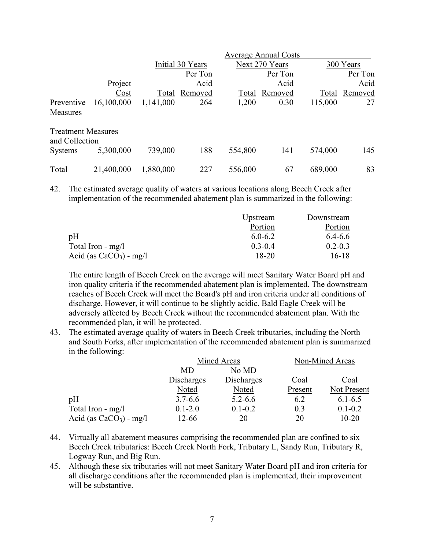|                                             |            |                  | <b>Average Annual Costs</b> |         |                |         |           |  |
|---------------------------------------------|------------|------------------|-----------------------------|---------|----------------|---------|-----------|--|
|                                             |            | Initial 30 Years |                             |         | Next 270 Years |         | 300 Years |  |
|                                             |            |                  | Per Ton                     |         | Per Ton        |         | Per Ton   |  |
|                                             | Project    |                  | Acid                        |         | Acid           |         | Acid      |  |
|                                             | $C_{.0st}$ | Total            | Removed                     | Total   | Removed        | Total   | Removed   |  |
| Preventive                                  | 16,100,000 | 1,141,000        | 264                         | 1,200   | 0.30           | 115,000 | 27        |  |
| Measures                                    |            |                  |                             |         |                |         |           |  |
| <b>Treatment Measures</b><br>and Collection |            |                  |                             |         |                |         |           |  |
| <b>Systems</b>                              | 5,300,000  | 739,000          | 188                         | 554,800 | 141            | 574,000 | 145       |  |
| Total                                       | 21,400,000 | 1,880,000        | 227                         | 556,000 | 67             | 689,000 | 83        |  |

42. The estimated average quality of waters at various locations along Beech Creek after implementation of the recommended abatement plan is summarized in the following:

|                           | Upstream    | Downstream  |
|---------------------------|-------------|-------------|
|                           | Portion     | Portion     |
| pH                        | $6.0 - 6.2$ | 6.4-6.6     |
| Total Iron - $mg/l$       | $0,3-0,4$   | $0.2 - 0.3$ |
| Acid (as $CaCO3$ ) - mg/l | 18-20       | 16-18       |

The entire length of Beech Creek on the average will meet Sanitary Water Board pH and iron quality criteria if the recommended abatement plan is implemented. The downstream reaches of Beech Creek will meet the Board's pH and iron criteria under all conditions of discharge. However, it will continue to be slightly acidic. Bald Eagle Creek will be adversely affected by Beech Creek without the recommended abatement plan. With the recommended plan, it will be protected.

43. The estimated average quality of waters in Beech Creek tributaries, including the North and South Forks, after implementation of the recommended abatement plan is summarized in the following:

|                           | Mined Areas |             | Non-Mined Areas |             |
|---------------------------|-------------|-------------|-----------------|-------------|
|                           | MD.         | No MD       |                 |             |
|                           | Discharges  | Discharges  | Coal            | Coal        |
|                           | Noted       | Noted       | Present         | Not Present |
| pH                        | $3.7 - 6.6$ | $5.2 - 6.6$ | 6.2             | $6.1 - 6.5$ |
| Total Iron $-$ mg/l       | $0.1 - 2.0$ | $0.1 - 0.2$ | 0.3             | $0.1 - 0.2$ |
| Acid (as $CaCO3$ ) - mg/l | $12 - 66$   | 20          | 20              | $10 - 20$   |

- 44. Virtually all abatement measures comprising the recommended plan are confined to six Beech Creek tributaries: Beech Creek North Fork, Tributary L, Sandy Run, Tributary R, Logway Run, and Big Run.
- 45. Although these six tributaries will not meet Sanitary Water Board pH and iron criteria for all discharge conditions after the recommended plan is implemented, their improvement will be substantive.